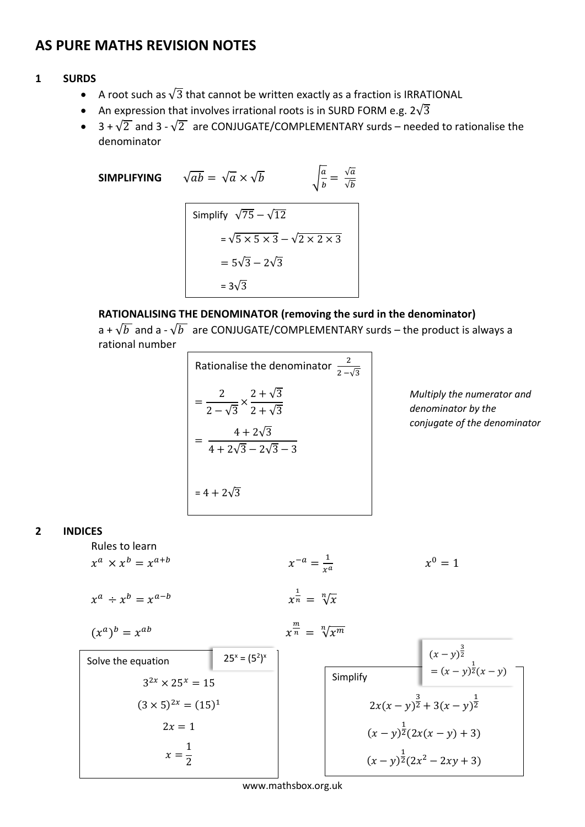# **AS PURE MATHS REVISION NOTES**

### **1 SURDS**

- A root such as  $\sqrt{3}$  that cannot be written exactly as a fraction is IRRATIONAL
- An expression that involves irrational roots is in SURD FORM e.g.  $2\sqrt{3}$
- 3 +  $\sqrt{2}$  and 3  $\sqrt{2}$  are CONJUGATE/COMPLEMENTARY surds needed to rationalise the denominator

**SIMPLIFYING**  $\sqrt{ab} = \sqrt{a} \times \sqrt{b}$ 

$$
\overline{b} \qquad \qquad \sqrt{\frac{a}{b}} = \frac{\sqrt{a}}{\sqrt{b}}
$$

Simplify 
$$
\sqrt{75} - \sqrt{12}
$$
  
=  $\sqrt{5} \times 5 \times 3 - \sqrt{2} \times 2 \times 3$   
=  $5\sqrt{3} - 2\sqrt{3}$   
=  $3\sqrt{3}$ 

# **RATIONALISING THE DENOMINATOR (removing the surd in the denominator)**

a +  $\sqrt{b}$  and a -  $\sqrt{b}$  are CONJUGATE/COMPLEMENTARY surds – the product is always a rational number

Rationalise the denominator 
$$
\frac{2}{2-\sqrt{3}}
$$
  

$$
= \frac{2}{2-\sqrt{3}} \times \frac{2+\sqrt{3}}{2+\sqrt{3}}
$$

$$
= \frac{4+2\sqrt{3}}{4+2\sqrt{3}-2\sqrt{3}-3}
$$

$$
= 4+2\sqrt{3}
$$

*Multiply the numerator and denominator by the conjugate of the denominator* 

### **2 INDICES**

Rules to learn

$$
x^{a} \times x^{b} = x^{a+b}
$$
  
\n
$$
x^{a} \div x^{b} = x^{a-b}
$$
  
\n
$$
(x^{a})^{b} = x^{ab}
$$
  
\n
$$
x^{\frac{1}{n}} = \sqrt[n]{x}
$$
  
\nSolve the equation  
\n
$$
25^{x} = (5^{2})^{x}
$$
  
\n
$$
3^{2x} \times 25^{x} = 15
$$
  
\n
$$
(3 \times 5)^{2x} = (15)^{1}
$$
  
\n
$$
2x = 1
$$
  
\n
$$
x^{\frac{m}{n}} = \sqrt[n]{x^{m}}
$$
  
\n
$$
x^{m} = \sqrt[n]{x^{m}}
$$
  
\n
$$
x^{m} = \sqrt[n]{x^{m}}
$$
  
\n
$$
x^{m} = \sqrt[n]{x^{m}}
$$
  
\n
$$
x = \sqrt[n]{x^{m}}
$$
  
\n
$$
x = \sqrt[n]{x^{m}}
$$
  
\n
$$
x = \sqrt[n]{x^{m}}
$$
  
\n
$$
x = \sqrt[n]{x^{m}}
$$
  
\n
$$
x^{m} = \sqrt[n]{x^{m}}
$$
  
\n
$$
x^{m} = \sqrt[n]{x^{m}}
$$
  
\n
$$
x = \sqrt[n]{x^{m}}
$$
  
\n
$$
x = \sqrt[n]{x^{m}}
$$
  
\n
$$
x = \sqrt[n]{x^{m}}
$$
  
\n
$$
x = \sqrt[n]{x^{n}}
$$
  
\n
$$
x = \sqrt[n]{x^{n}}
$$
  
\n
$$
x = \sqrt[n]{x^{n}}
$$
  
\n
$$
x = \sqrt[n]{x^{n}}
$$
  
\n
$$
x = \sqrt[n]{x^{n}}
$$
  
\n
$$
x^{n} = \sqrt[n]{x^{m}}
$$
  
\n
$$
x^{n} = \sqrt[n]{x^{m}}
$$
  
\n
$$
x^{n} = \sqrt[n]{x^{m}}
$$
  
\n
$$
x^{n} = \sqrt[n]{x^{m}}
$$
  
\n
$$
x^{n} = \sqrt[n]{x^{n}}
$$
  
\n
$$
x^{n} = \sqrt[n]{x^{n}}
$$
  
\n
$$
x^{n
$$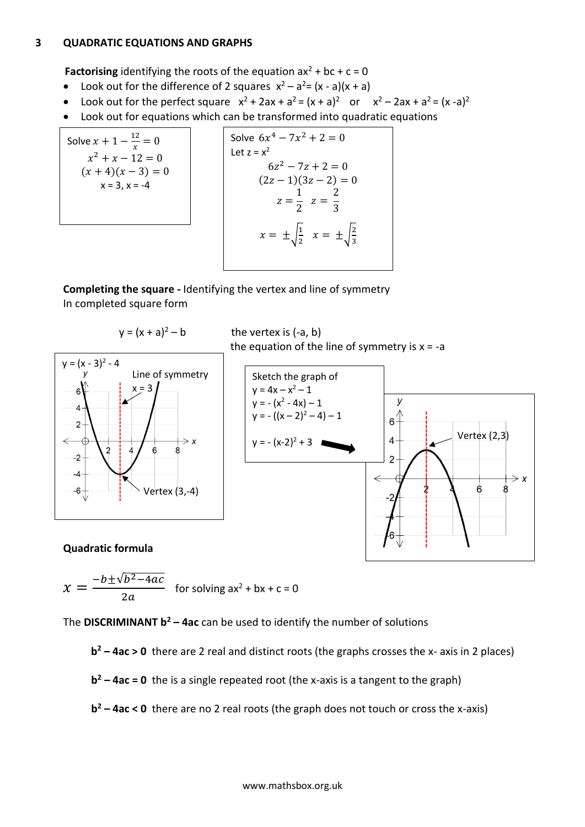#### **3 QUADRATIC EQUATIONS AND GRAPHS**

**Factorising** identifying the roots of the equation  $ax^2 + bc + c = 0$ 

- Look out for the difference of 2 squares  $x^2 a^2 = (x a)(x + a)$
- Look out for the perfect square  $x^2 + 2ax + a^2 = (x + a)^2$  or  $x^2 2ax + a^2 = (x a)^2$
- Look out for equations which can be transformed into quadratic equations

Solve 
$$
x + 1 - \frac{12}{x} = 0
$$
  
\n $x^2 + x - 12 = 0$   
\n $(x + 4)(x - 3) = 0$   
\n $x = 3, x = -4$ 

Solve 
$$
6x^4 - 7x^2 + 2 = 0
$$
  
\nLet  $z = x^2$   
\n $6z^2 - 7z + 2 = 0$   
\n $(2z - 1)(3z - 2) = 0$   
\n $z = \frac{1}{2} \quad z = \frac{2}{3}$   
\n $x = \pm \sqrt{\frac{1}{2}} \quad x = \pm \sqrt{\frac{2}{3}}$ 

**Completing the square -** Identifying the vertex and line of symmetry In completed square form



**Quadratic formula** 

$$
x = \frac{-b \pm \sqrt{b^2 - 4ac}}{2a}
$$
 for solving  $ax^2 + bx + c = 0$ 

The **DISCRIMINANT b <sup>2</sup> – 4ac** can be used to identify the number of solutions

**b <sup>2</sup> – 4ac > 0** there are 2 real and distinct roots (the graphs crosses the x- axis in 2 places)

**b <sup>2</sup> – 4ac = 0** the is a single repeated root (the x-axis is a tangent to the graph)

**b <sup>2</sup> – 4ac < 0** there are no 2 real roots (the graph does not touch or cross the x-axis)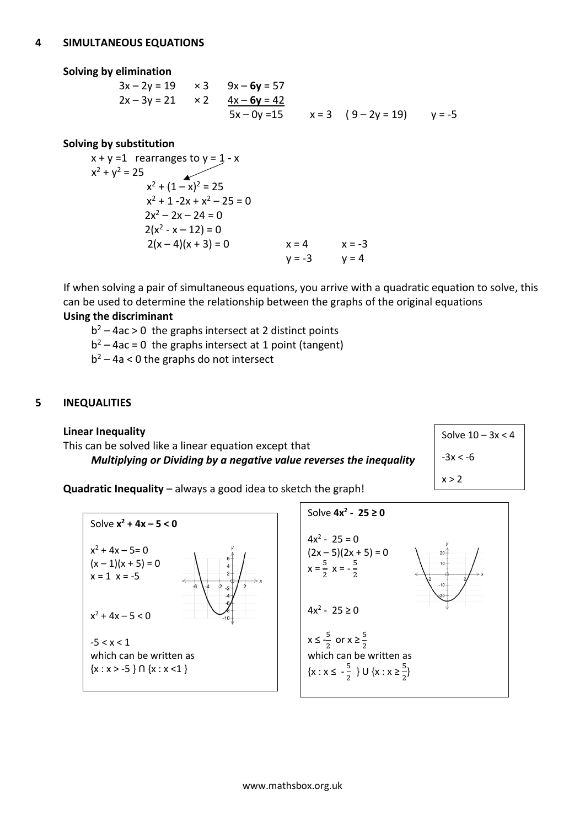### **Solving by elimination**

$$
3x - 2y = 19 \t x 3 \t 9x - 6y = 57
$$
  
2x - 3y = 21 \t x 2 \t 4x - 6y = 42  
5x - 0y = 15 \t x = 3 (9 - 2y = 19) y = -5

# **Solving by substitution**

$$
x + y = 1
$$
 rearranges to  $y = 1 - x$   
\n
$$
x^{2} + y^{2} = 25
$$
\n
$$
x^{2} + (1 - x)^{2} = 25
$$
\n
$$
x^{2} + 1 - 2x + x^{2} - 25 = 0
$$
\n
$$
2x^{2} - 2x - 24 = 0
$$
\n
$$
2(x^{2} - x - 12) = 0
$$
\n
$$
2(x - 4)(x + 3) = 0
$$
\n
$$
x = 4
$$
\n
$$
x = -3
$$
\n
$$
y = -3
$$
\n
$$
y = 4
$$

If when solving a pair of simultaneous equations, you arrive with a quadratic equation to solve, this can be used to determine the relationship between the graphs of the original equations **Using the discriminant**

- $b^2 4ac > 0$  the graphs intersect at 2 distinct points
- $b^2 4ac = 0$  the graphs intersect at 1 point (tangent)
- $b^2 4a < 0$  the graphs do not intersect

# **5 INEQUALITIES**

**Linear Inequality** This can be solved like a linear equation except that *Multiplying or Dividing by a negative value reverses the inequality*



**Quadratic Inequality** – always a good idea to sketch the graph!



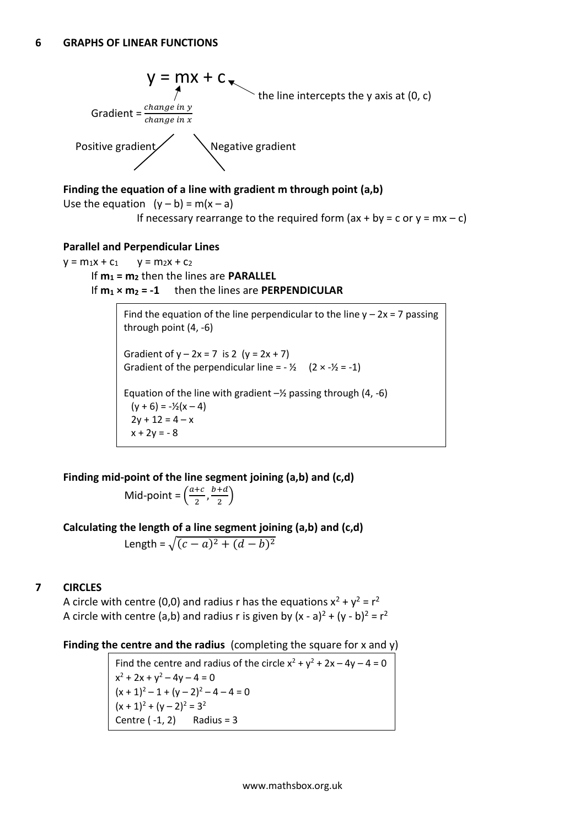

# **Finding the equation of a line with gradient m through point (a,b)**

Use the equation  $(y - b) = m(x - a)$ If necessary rearrange to the required form  $(ax + by = c$  or  $y = mx - c$ )

## **Parallel and Perpendicular Lines**

 $y = m_1x + c_1$   $y = m_2x + c_2$ If **m<sup>1</sup> = m<sup>2</sup>** then the lines are **PARALLEL** If **m<sup>1</sup> × m<sup>2</sup> = -1** then the lines are **PERPENDICULAR**

> Find the equation of the line perpendicular to the line  $y - 2x = 7$  passing through point (4, -6) Gradient of  $y - 2x = 7$  is 2  $(y = 2x + 7)$ Gradient of the perpendicular line =  $\frac{1}{2}$  (2 ×  $-\frac{1}{2}$ ) Equation of the line with gradient  $-\frac{1}{2}$  passing through (4, -6)  $(y + 6) = -\frac{1}{2}(x - 4)$  $2y + 12 = 4 - x$  $x + 2y = -8$

**Finding mid-point of the line segment joining (a,b) and (c,d)**

Mid-point = 
$$
\left(\frac{a+c}{2}, \frac{b+d}{2}\right)
$$

**Calculating the length of a line segment joining (a,b) and (c,d)**

Length =  $\sqrt{(c-a)^2 + (d-b)^2}$ 

# **7 CIRCLES**

A circle with centre (0,0) and radius r has the equations  $x^2 + y^2 = r^2$ A circle with centre (a,b) and radius r is given by  $(x - a)^2 + (y - b)^2 = r^2$ 

**Finding the centre and the radius** (completing the square for x and y)

Find the centre and radius of the circle  $x^2 + y^2 + 2x - 4y - 4 = 0$  $x^2 + 2x + y^2 - 4y - 4 = 0$  $(x + 1)^2 - 1 + (y - 2)^2 - 4 - 4 = 0$  $(x + 1)^2 + (y - 2)^2 = 3^2$ Centre  $(-1, 2)$  Radius = 3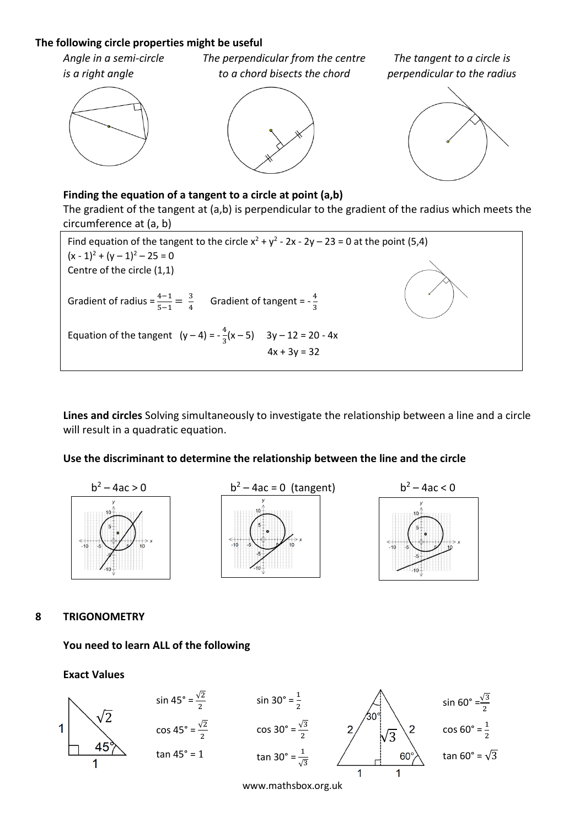# **The following circle properties might be useful**

*Angle in a semi-circle The perpendicular from the centre The tangent to a circle is is a right angle* to a chord bisects the chord perpendicular to the radius





# **Finding the equation of a tangent to a circle at point (a,b)**

The gradient of the tangent at (a,b) is perpendicular to the gradient of the radius which meets the circumference at (a, b)



**Lines and circles** Solving simultaneously to investigate the relationship between a line and a circle will result in a quadratic equation.

## **Use the discriminant to determine the relationship between the line and the circle**



**8 TRIGONOMETRY** 

**You need to learn ALL of the following**

**Exact Values** 



www.mathsbox.org.uk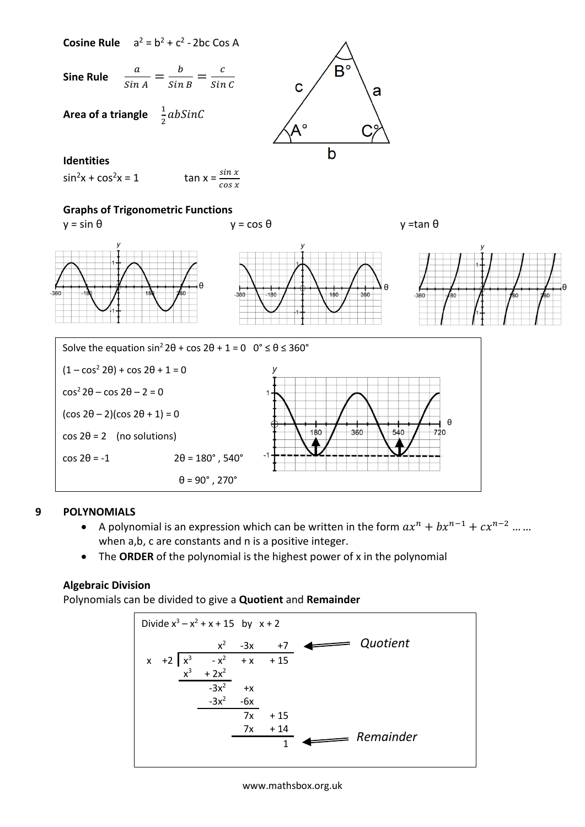

# **9 POLYNOMIALS**

- A polynomial is an expression which can be written in the form  $ax^n + bx^{n-1} + cx^{n-2}$  ... ... when a,b, c are constants and n is a positive integer.
- The **ORDER** of the polynomial is the highest power of x in the polynomial

# **Algebraic Division**

Polynomials can be divided to give a **Quotient** and **Remainder**



#### www.mathsbox.org.uk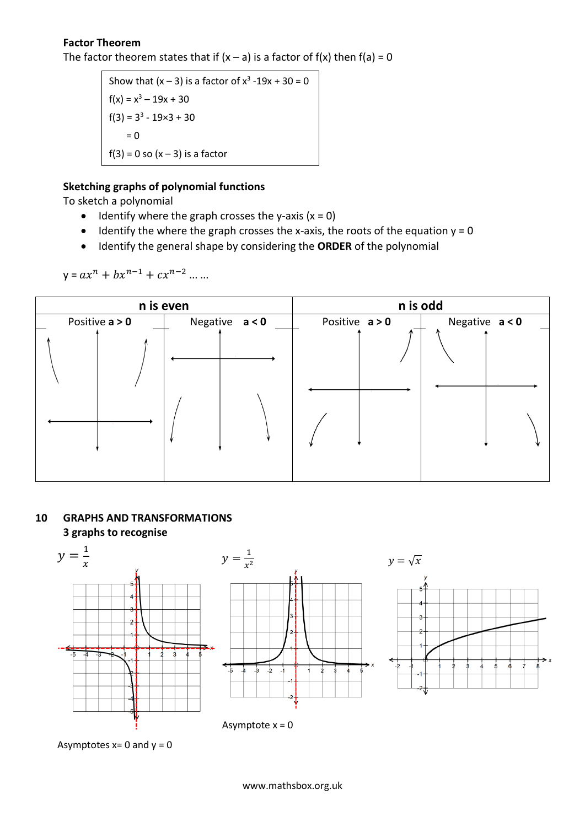# **Factor Theorem**

The factor theorem states that if  $(x - a)$  is a factor of  $f(x)$  then  $f(a) = 0$ 

Show that  $(x - 3)$  is a factor of  $x^3 - 19x + 30 = 0$  $f(x) = x^3 - 19x + 30$  $f(3) = 3^3 - 19 \times 3 + 30$  $= 0$  $f(3) = 0$  so  $(x - 3)$  is a factor

# **Sketching graphs of polynomial functions**

To sketch a polynomial

- Identify where the graph crosses the y-axis  $(x = 0)$
- Identify the where the graph crosses the x-axis, the roots of the equation  $y = 0$
- Identify the general shape by considering the **ORDER** of the polynomial

 $y = ax^n + bx^{n-1} + cx^{n-2} \dots$ 



# **10 GRAPHS AND TRANSFORMATIONS 3 graphs to recognise**



Asymptotes  $x=0$  and  $y=0$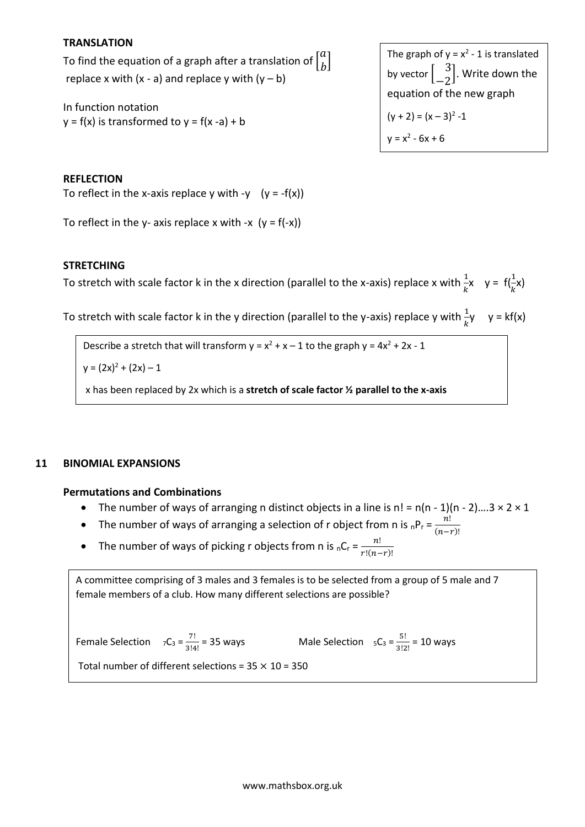## **TRANSLATION**

To find the equation of a graph after a translation of  $\begin{bmatrix} a & b \\ c & d \end{bmatrix}$  $\int_{b}^{a}$ replace x with  $(x - a)$  and replace y with  $(y - b)$ 

In function notation  $y = f(x)$  is transformed to  $y = f(x - a) + b$ 

The graph of 
$$
y = x^2 - 1
$$
 is translated  
by vector  $\begin{bmatrix} 3 \\ -2 \end{bmatrix}$ . Write down the  
equation of the new graph  
 $(y + 2) = (x - 3)^2 - 1$   
 $y = x^2 - 6x + 6$ 

#### **REFLECTION**

To reflect in the x-axis replace y with -y  $(y = -f(x))$ 

To reflect in the y- axis replace x with -x  $(y = f(-x))$ 

#### **STRETCHING**

To stretch with scale factor k in the x direction (parallel to the x-axis) replace x with  $\frac{1}{k}x$  y = f $(\frac{1}{k}x)$ 

To stretch with scale factor k in the y direction (parallel to the y-axis) replace y with  $\frac{1}{k}$ y y = kf(x)

Describe a stretch that will transform  $y = x^2 + x - 1$  to the graph  $y = 4x^2 + 2x - 1$ 

 $y = (2x)^2 + (2x) - 1$ 

x has been replaced by 2x which is a **stretch of scale factor ½ parallel to the x-axis**

#### **11 BINOMIAL EXPANSIONS**

#### **Permutations and Combinations**

- The number of ways of arranging n distinct objects in a line is  $n! = n(n 1)(n 2)...3 \times 2 \times 1$
- The number of ways of arranging a selection of r object from n is  ${}_{n}P_{r} = \frac{n!}{(n-1)!}$  $(n-r)!$
- The number of ways of picking r objects from n is  $nC_r = \frac{n!}{n!(n-r)!}$  $r!(n-r)!$

A committee comprising of 3 males and 3 females is to be selected from a group of 5 male and 7 female members of a club. How many different selections are possible?

Female Selection  $7C_3 = \frac{7!}{2!4}$ 

 $\frac{7!}{3!4!}$  = 35 ways Male Selection  ${}_{5}C_{3} = \frac{5!}{3!2!}$  $\frac{3!}{3!2!}$  = 10 ways

Total number of different selections =  $35 \times 10 = 350$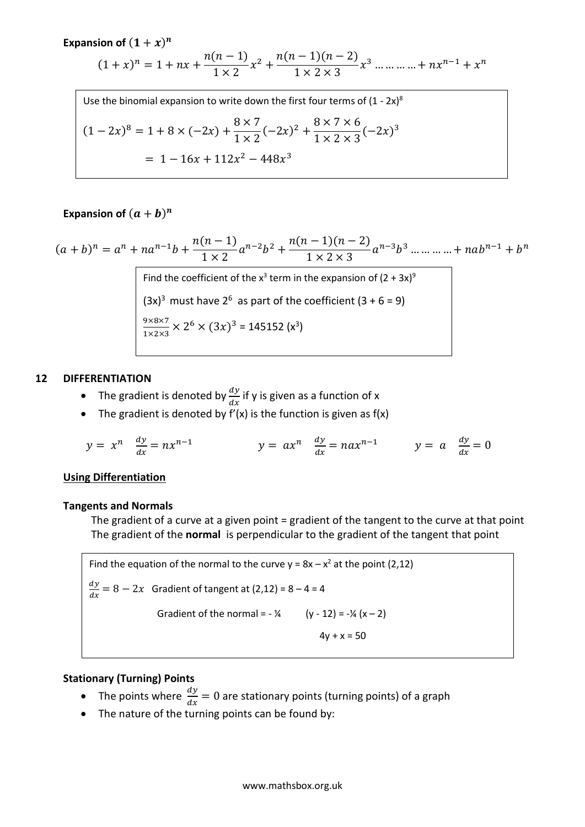**Expansion of**  $(1 + x)^n$ 

$$
(1+x)^n = 1 + nx + \frac{n(n-1)}{1 \times 2}x^2 + \frac{n(n-1)(n-2)}{1 \times 2 \times 3}x^3 + \dots + nx^{n-1} + x^n
$$

Use the binomial expansion to write down the first four terms of  $(1 - 2x)^8$  $(1-2x)^8 = 1 + 8 \times (-2x) + \frac{8 \times 7}{1 \times 2}$  $1 \times 2$  $(-2x)^2 + \frac{8 \times 7 \times 6}{1 \times 2 \times 2}$  $1 \times 2 \times 3$  $(-2x)^3$  $= 1 - 16x + 112x^2 - 448x^3$ 

# **Expansion of**  $(a + b)^n$

$$
(a+b)^n = a^n + na^{n-1}b + \frac{n(n-1)}{1 \times 2}a^{n-2}b^2 + \frac{n(n-1)(n-2)}{1 \times 2 \times 3}a^{n-3}b^3 + \dots + nab^{n-1} + b^n
$$
  
Find the coefficient of the x<sup>3</sup> term in the expansion of (2 + 3x)<sup>9</sup>  
(3x)<sup>3</sup> must have 2<sup>6</sup> as part of the coefficient (3 + 6 = 9)  

$$
\frac{9 \times 8 \times 7}{1 \times 2 \times 3} \times 2^6 \times (3x)^3 = 145152 \text{ (x}^3)
$$

# **12 DIFFERENTIATION**

- The gradient is denoted by  $\frac{dy}{dx}$  if y is given as a function of x
- The gradient is denoted by  $f'(x)$  is the function is given as  $f(x)$

$$
y = x^n \quad \frac{dy}{dx} = nx^{n-1} \qquad \qquad y = ax^n \quad \frac{dy}{dx} = nax^{n-1} \qquad \qquad y = a \quad \frac{dy}{dx} = 0
$$

## **Using Differentiation**

#### **Tangents and Normals**

The gradient of a curve at a given point = gradient of the tangent to the curve at that point The gradient of the **normal** is perpendicular to the gradient of the tangent that point

Find the equation of the normal to the curve  $y = 8x - x^2$  at the point (2,12)  $\frac{dy}{y}$  $\frac{dy}{dx} = 8 - 2x$  Gradient of tangent at (2,12) = 8 – 4 = 4 Gradient of the normal =  $-$  ¼ (y - 12) =  $-$  ¼ (x - 2)  $4y + x = 50$ 

## **Stationary (Turning) Points**

- The points where  $\frac{dy}{dx} = 0$  are stationary points (turning points) of a graph
- The nature of the turning points can be found by: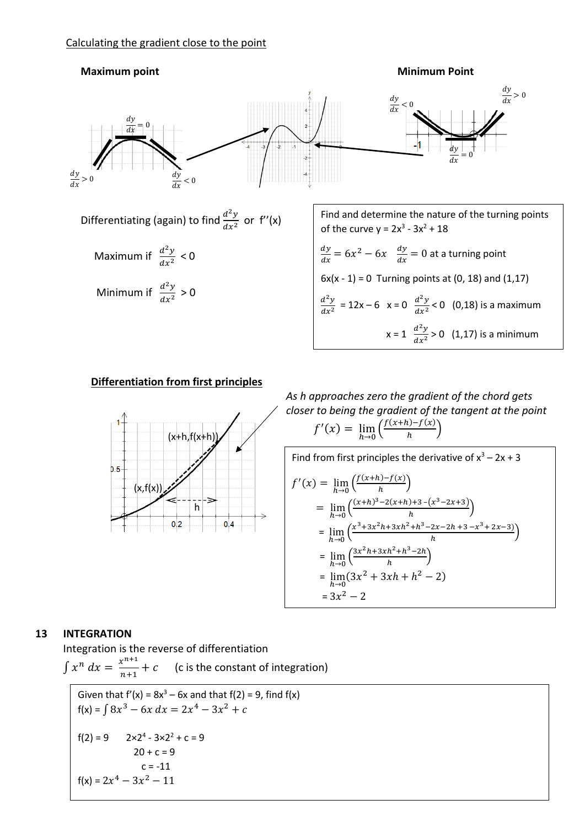

# **Differentiation from first principles**



*As h approaches zero the gradient of the chord gets closer to being the gradient of the tangent at the point*  $f'(x) = \lim_{h \to 0} \left( \frac{f(x+h) - f(x)}{h} \right)$  $\frac{h^{(n-1)(\lambda)}}{h}$ 

Find from first principles the derivative of 
$$
x^3 - 2x + 3
$$
  
\n
$$
f'(x) = \lim_{h \to 0} \left( \frac{f(x+h) - f(x)}{h} \right)
$$
\n
$$
= \lim_{h \to 0} \left( \frac{(x+h)^3 - 2(x+h) + 3 - (x^3 - 2x + 3)}{h} \right)
$$
\n
$$
= \lim_{h \to 0} \left( \frac{x^3 + 3x^2h + 3xh^2 + h^3 - 2x - 2h + 3 - x^3 + 2x - 3}{h} \right)
$$
\n
$$
= \lim_{h \to 0} \left( \frac{3x^2h + 3xh^2 + h^3 - 2h}{h} \right)
$$
\n
$$
= \lim_{h \to 0} (3x^2 + 3xh + h^2 - 2)
$$
\n
$$
= 3x^2 - 2
$$

## **13 INTEGRATION**

Integration is the reverse of differentiation

 $\int x^n dx = \frac{x^{n+1}}{n+1}$  $n+1$ (c is the constant of integration)

Given that 
$$
f'(x) = 8x^3 - 6x
$$
 and that  $f(2) = 9$ , find  $f(x)$   
\n $f(x) = \int 8x^3 - 6x \, dx = 2x^4 - 3x^2 + c$   
\n $f(2) = 9$   $2 \times 2^4 - 3 \times 2^2 + c = 9$   
\n $20 + c = 9$   
\n $c = -11$   
\n $f(x) = 2x^4 - 3x^2 - 11$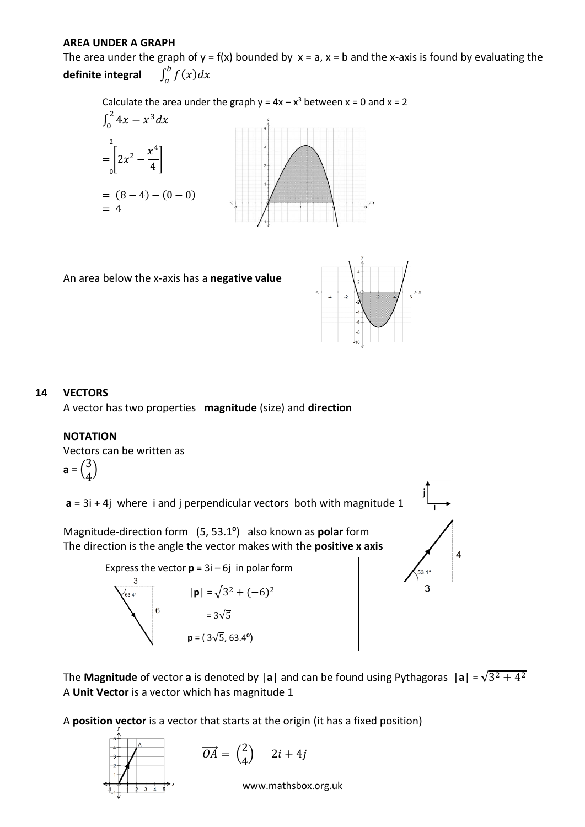## **AREA UNDER A GRAPH**

The area under the graph of  $y = f(x)$  bounded by  $x = a$ ,  $x = b$  and the x-axis is found by evaluating the **definite integral** <sup>∫</sup> ()  $\int_a^b f(x) dx$ 



An area below the x-axis has a **negative value**



# **14 VECTORS**

A vector has two properties **magnitude** (size) and **direction**

## **NOTATION**

Vectors can be written as

$$
\mathbf{a} = \begin{pmatrix} 3 \\ 4 \end{pmatrix}
$$

**a** = 3i + 4j where i and j perpendicular vectors both with magnitude 1

Magnitude-direction form (5, 53.1<sup>o</sup>) also known as **polar** form The direction is the angle the vector makes with the **positive x axis**





j

The Magnitude of vector a is denoted by |a| and can be found using Pythagoras  $|a| = \sqrt{3^2 + 4^2}$ A **Unit Vector** is a vector which has magnitude 1

A **position vector** is a vector that starts at the origin (it has a fixed position)

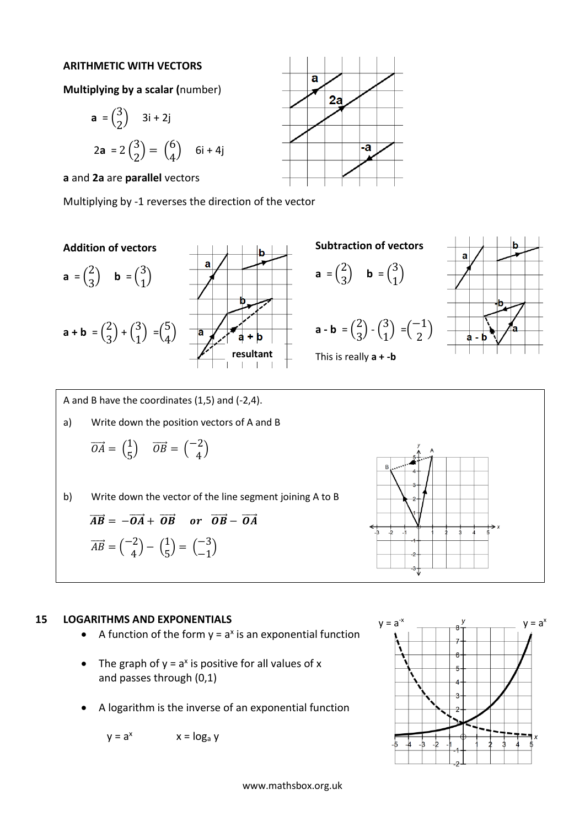### **ARITHMETIC WITH VECTORS**

**Multiplying by a scalar (**number)

$$
\mathbf{a} = \begin{pmatrix} 3 \\ 2 \end{pmatrix} \quad 3\mathbf{i} + 2\mathbf{j}
$$

$$
2\mathbf{a} = 2\begin{pmatrix} 3 \\ 2 \end{pmatrix} = \begin{pmatrix} 6 \\ 4 \end{pmatrix} \quad 6\mathbf{i} + 4\mathbf{j}
$$

**a** and **2a** are **parallel** vectors

Multiplying by -1 reverses the direction of the vector



$$
\mathbf{a} = \begin{pmatrix} 2 \\ 3 \end{pmatrix} \quad \mathbf{b} = \begin{pmatrix} 3 \\ 1 \end{pmatrix}
$$

$$
\mathbf{a} + \mathbf{b} = \begin{pmatrix} 2 \\ 3 \end{pmatrix} + \begin{pmatrix} 3 \\ 1 \end{pmatrix} = \begin{pmatrix} 5 \\ 4 \end{pmatrix}
$$





 $\overline{\mathbf{a}}$ 

**a** =  $\binom{2}{3}$  $\begin{pmatrix} 2 \\ 3 \end{pmatrix}$  **b** =  $\begin{pmatrix} 3 \\ 1 \end{pmatrix}$  $\binom{5}{1}$ 

 $\overline{\mathbf{a}}$ 

 $2a$ 







A and B have the coordinates (1,5) and (-2,4).

a) Write down the position vectors of A and B

$$
\overrightarrow{OA} = \begin{pmatrix} 1 \\ 5 \end{pmatrix} \quad \overrightarrow{OB} = \begin{pmatrix} -2 \\ 4 \end{pmatrix}
$$

b) Write down the vector of the line segment joining A to B

$$
\overrightarrow{AB} = -\overrightarrow{OA} + \overrightarrow{OB} \quad or \quad \overrightarrow{OB} - \overrightarrow{OA}
$$

$$
\overrightarrow{AB} = \begin{pmatrix} -2 \\ 4 \end{pmatrix} - \begin{pmatrix} 1 \\ 5 \end{pmatrix} = \begin{pmatrix} -3 \\ -1 \end{pmatrix}
$$

# **15 LOGARITHMS AND EXPONENTIALS**

- A function of the form  $y = a^x$  is an exponential function
- The graph of  $y = a^x$  is positive for all values of x and passes through (0,1)
- A logarithm is the inverse of an exponential function

 $y = a^x$   $x = log_a y$ 

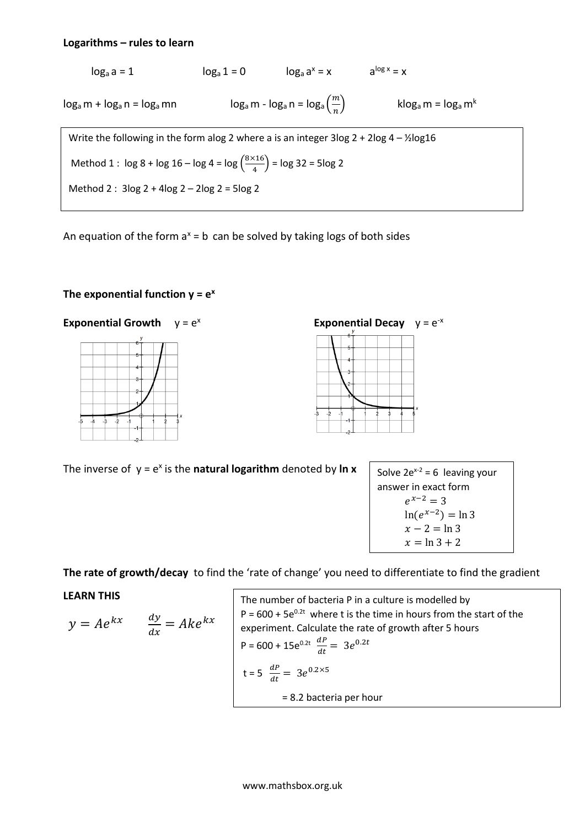### **Logarithms – rules to learn**

$$
\log_a a = 1
$$
\n
$$
\log_a 1 = 0
$$
\n
$$
\log_a a^x = x
$$
\n
$$
\log_a m + \log_a n = \log_a mn
$$
\n
$$
\log_a m - \log_a n = \log_a \left(\frac{m}{n}\right)
$$
\n
$$
\log_a m = \log_a m^k
$$
\nWrite the following in the form  $ab \log a$  where  $a$  is an integer  $3 \log 2 + 2 \log 4 - \frac{1}{2} \log 16$ \n
$$
\text{Method 1: } \log 8 + \log 16 - \log 4 = \log \left(\frac{8 \times 16}{4}\right) = \log 32 = 5 \log 2
$$
\n
$$
\text{Method 2: } 3 \log 2 + 4 \log 2 - 2 \log 2 = 5 \log 2
$$

An equation of the form  $a^x = b$  can be solved by taking logs of both sides

# The exponential function  $y = e^x$





The inverse of  $y = e^x$  is the **natural logarithm** denoted by **In x** 



**The rate of growth/decay** to find the 'rate of change' you need to differentiate to find the gradient

## **LEARN THIS**

$$
y = Ae^{kx} \qquad \frac{dy}{dx} = Ake^{kx}
$$

The number of bacteria P in a culture is modelled by  
\nP = 600 + 5e<sup>0.2t</sup> where t is the time in hours from the start of the  
\nexperiment. Calculate the rate of growth after 5 hours  
\nP = 600 + 15e<sup>0.2t</sup> 
$$
\frac{dP}{dt} = 3e^{0.2t}
$$
  
\nt = 5  $\frac{dP}{dt} = 3e^{0.2\times5}$   
\n= 8.2 bacteria per hour